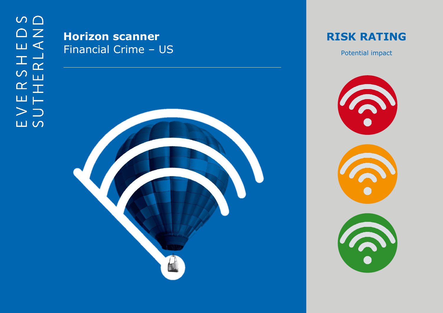## **Horizon scanner** Financial Crime - US



**RISK RATING** 

Potential impact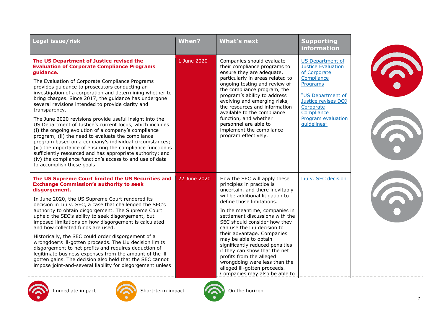| Legal issue/risk                                                                                                                                                                                                                                                                                                                                                                                                                                                                                                                                                                                                                                                                                                                                                                                                                                                                                                                | When?        | <b>What's next</b>                                                                                                                                                                                                                                                                                                                                                                                                                                                                                                                                        | <b>Supporting</b><br><b>information</b>                                                                                                                                                                           |  |
|---------------------------------------------------------------------------------------------------------------------------------------------------------------------------------------------------------------------------------------------------------------------------------------------------------------------------------------------------------------------------------------------------------------------------------------------------------------------------------------------------------------------------------------------------------------------------------------------------------------------------------------------------------------------------------------------------------------------------------------------------------------------------------------------------------------------------------------------------------------------------------------------------------------------------------|--------------|-----------------------------------------------------------------------------------------------------------------------------------------------------------------------------------------------------------------------------------------------------------------------------------------------------------------------------------------------------------------------------------------------------------------------------------------------------------------------------------------------------------------------------------------------------------|-------------------------------------------------------------------------------------------------------------------------------------------------------------------------------------------------------------------|--|
| The US Department of Justice revised the<br><b>Evaluation of Corporate Compliance Programs</b><br>guidance.<br>The Evaluation of Corporate Compliance Programs<br>provides guidance to prosecutors conducting an<br>investigation of a corporation and determining whether to<br>bring charges. Since 2017, the guidance has undergone<br>several revisions intended to provide clarity and<br>transparency.<br>The June 2020 revisions provide useful insight into the<br>US Department of Justice's current focus, which includes<br>(i) the ongoing evolution of a company's compliance<br>program; (ii) the need to evaluate the compliance<br>program based on a company's individual circumstances;<br>(iii) the importance of ensuring the compliance function is<br>sufficiently resourced and has appropriate authority; and<br>(iv) the compliance function's access to and use of data<br>to accomplish these goals. | 1 June 2020  | Companies should evaluate<br>their compliance programs to<br>ensure they are adequate,<br>particularly in areas related to<br>ongoing testing and review of<br>the compliance program, the<br>program's ability to address<br>evolving and emerging risks,<br>the resources and information<br>available to the compliance<br>function, and whether<br>personnel are able to<br>implement the compliance<br>program effectively.                                                                                                                          | <b>US Department of</b><br><b>Justice Evaluation</b><br>of Corporate<br>Compliance<br>Programs<br>"US Department of<br>Justice revises DOJ<br>Corporate<br>Compliance<br><b>Program evaluation</b><br>quidelines" |  |
| The US Supreme Court limited the US Securities and<br><b>Exchange Commission's authority to seek</b><br>disgorgement.<br>In June 2020, the US Supreme Court rendered its<br>decision in Liu v. SEC, a case that challenged the SEC's<br>authority to obtain disgorgement. The Supreme Court<br>upheld the SEC's ability to seek disgorgement, but<br>imposed limitations on how disgorgement is calculated<br>and how collected funds are used.<br>Historically, the SEC could order disgorgement of a<br>wrongdoer's ill-gotten proceeds. The Liu decision limits<br>disgorgement to net profits and requires deduction of<br>legitimate business expenses from the amount of the ill-<br>gotten gains. The decision also held that the SEC cannot<br>impose joint-and-several liability for disgorgement unless                                                                                                               | 22 June 2020 | How the SEC will apply these<br>principles in practice is<br>uncertain, and there inevitably<br>will be additional litigation to<br>define those limitations.<br>In the meantime, companies in<br>settlement discussions with the<br>SEC should consider how they<br>can use the Liu decision to<br>their advantage. Companies<br>may be able to obtain<br>significantly reduced penalties<br>if they can show that the net<br>profits from the alleged<br>wrongdoing were less than the<br>alleged ill-gotten proceeds.<br>Companies may also be able to | Liu v. SEC decision                                                                                                                                                                                               |  |







Immediate impact **Short-term impact** On the horizon



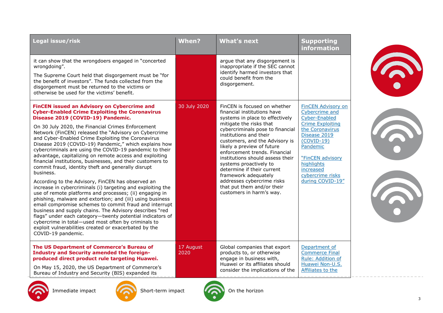| Legal issue/risk                                                                                                                                                                                                                                                                                                                                                                                                                                                                                                                                                                                                                                                                                                                                                                                                                                                                                                                                                                                                                                                                                                                                                                                         | When?             | <b>What's next</b>                                                                                                                                                                                                                                                                                                                                                                                                                                                                                   | <b>Supporting</b><br><b>information</b>                                                                                                                                                                                                              |
|----------------------------------------------------------------------------------------------------------------------------------------------------------------------------------------------------------------------------------------------------------------------------------------------------------------------------------------------------------------------------------------------------------------------------------------------------------------------------------------------------------------------------------------------------------------------------------------------------------------------------------------------------------------------------------------------------------------------------------------------------------------------------------------------------------------------------------------------------------------------------------------------------------------------------------------------------------------------------------------------------------------------------------------------------------------------------------------------------------------------------------------------------------------------------------------------------------|-------------------|------------------------------------------------------------------------------------------------------------------------------------------------------------------------------------------------------------------------------------------------------------------------------------------------------------------------------------------------------------------------------------------------------------------------------------------------------------------------------------------------------|------------------------------------------------------------------------------------------------------------------------------------------------------------------------------------------------------------------------------------------------------|
| it can show that the wrongdoers engaged in "concerted<br>wrongdoing".<br>The Supreme Court held that disgorgement must be "for<br>the benefit of investors". The funds collected from the<br>disgorgement must be returned to the victims or<br>otherwise be used for the victims' benefit.                                                                                                                                                                                                                                                                                                                                                                                                                                                                                                                                                                                                                                                                                                                                                                                                                                                                                                              |                   | arque that any disgorgement is<br>inappropriate if the SEC cannot<br>identify harmed investors that<br>could benefit from the<br>disgorgement.                                                                                                                                                                                                                                                                                                                                                       |                                                                                                                                                                                                                                                      |
| <b>FinCEN issued an Advisory on Cybercrime and</b><br><b>Cyber-Enabled Crime Exploiting the Coronavirus</b><br>Disease 2019 (COVID-19) Pandemic.<br>On 30 July 2020, the Financial Crimes Enforcement<br>Network (FinCEN) released the "Advisory on Cybercrime<br>and Cyber-Enabled Crime Exploiting the Coronavirus<br>Disease 2019 (COVID-19) Pandemic," which explains how<br>cybercriminals are using the COVID-19 pandemic to their<br>advantage, capitalizing on remote access and exploiting<br>financial institutions, businesses, and their customers to<br>commit fraud, identity theft and generally disrupt<br>business.<br>According to the Advisory, FinCEN has observed an<br>increase in cybercriminals (i) targeting and exploiting the<br>use of remote platforms and processes; (ii) engaging in<br>phishing, malware and extortion; and (iii) using business<br>email compromise schemes to commit fraud and interrupt<br>business and supply chains. The Advisory describes "red<br>flags" under each category-twenty potential indicators of<br>cybercrime in total-used most often by criminals to<br>exploit vulnerabilities created or exacerbated by the<br>COVID-19 pandemic. | 30 July 2020      | FinCEN is focused on whether<br>financial institutions have<br>systems in place to effectively<br>mitigate the risks that<br>cybercriminals pose to financial<br>institutions and their<br>customers, and the Advisory is<br>likely a preview of future<br>enforcement trends. Financial<br>institutions should assess their<br>systems proactively to<br>determine if their current<br>framework adequately<br>addresses cybercrime risks<br>that put them and/or their<br>customers in harm's way. | <b>FinCEN Advisory on</b><br>Cybercrime and<br><b>Cyber-Enabled</b><br><b>Crime Exploiting</b><br>the Coronavirus<br>Disease 2019<br>$(COVID-19)$<br>Pandemic<br>"FinCEN advisory<br>highlights<br>increased<br>cybercrime risks<br>during COVID-19" |
| The US Department of Commerce's Bureau of<br><b>Industry and Security amended the foreign-</b><br>produced direct product rule targeting Huawei.<br>On May 15, 2020, the US Department of Commerce's<br>Bureau of Industry and Security (BIS) expanded its                                                                                                                                                                                                                                                                                                                                                                                                                                                                                                                                                                                                                                                                                                                                                                                                                                                                                                                                               | 17 August<br>2020 | Global companies that export<br>products to, or otherwise<br>engage in business with,<br>Huawei or its affiliates should<br>consider the implications of the                                                                                                                                                                                                                                                                                                                                         | Department of<br><b>Commerce Final</b><br>Rule: Addition of<br>Huawei Non-U.S.<br>Affiliates to the                                                                                                                                                  |











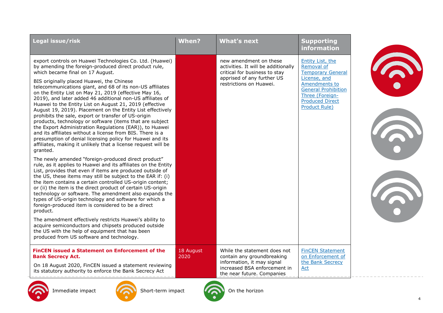| Legal issue/risk                                                                                                                                                                                                                                                                                                                                                                                                                                                                                                                                                                                                                                                                                                                                                                                                                                                                                                                                                                                                                                                                                                                                                                                                                                                                                                                                                                                                                                                                                                                                                                                                                                                                              | <b>When?</b>      | <b>What's next</b>                                                                                                                                      | <b>Supporting</b><br>information                                                                                                                                                        |  |
|-----------------------------------------------------------------------------------------------------------------------------------------------------------------------------------------------------------------------------------------------------------------------------------------------------------------------------------------------------------------------------------------------------------------------------------------------------------------------------------------------------------------------------------------------------------------------------------------------------------------------------------------------------------------------------------------------------------------------------------------------------------------------------------------------------------------------------------------------------------------------------------------------------------------------------------------------------------------------------------------------------------------------------------------------------------------------------------------------------------------------------------------------------------------------------------------------------------------------------------------------------------------------------------------------------------------------------------------------------------------------------------------------------------------------------------------------------------------------------------------------------------------------------------------------------------------------------------------------------------------------------------------------------------------------------------------------|-------------------|---------------------------------------------------------------------------------------------------------------------------------------------------------|-----------------------------------------------------------------------------------------------------------------------------------------------------------------------------------------|--|
| export controls on Huawei Technologies Co. Ltd. (Huawei)<br>by amending the foreign-produced direct product rule,<br>which became final on 17 August.<br>BIS originally placed Huawei, the Chinese<br>telecommunications giant, and 68 of its non-US affiliates<br>on the Entity List on May 21, 2019 (effective May 16,<br>2019), and later added 46 additional non-US affiliates of<br>Huawei to the Entity List on August 21, 2019 (effective<br>August 19, 2019). Placement on the Entity List effectively<br>prohibits the sale, export or transfer of US-origin<br>products, technology or software (items that are subject<br>the Export Administration Regulations (EAR)), to Huawei<br>and its affiliates without a license from BIS. There is a<br>presumption of denial licensing policy for Huawei and its<br>affiliates, making it unlikely that a license request will be<br>granted.<br>The newly amended "foreign-produced direct product"<br>rule, as it applies to Huawei and its affiliates on the Entity<br>List, provides that even if items are produced outside of<br>the US, these items may still be subject to the EAR if: (i)<br>the item contains a certain controlled US-origin content;<br>or (ii) the item is the direct product of certain US-origin<br>technology or software. The amendment also expands the<br>types of US-origin technology and software for which a<br>foreign-produced item is considered to be a direct<br>product.<br>The amendment effectively restricts Huawei's ability to<br>acquire semiconductors and chipsets produced outside<br>the US with the help of equipment that has been<br>produced from US software and technology. |                   | new amendment on these<br>activities. It will be additionally<br>critical for business to stay<br>apprised of any further US<br>restrictions on Huawei. | Entity List, the<br>Removal of<br><b>Temporary General</b><br>License, and<br>Amendments to<br><b>General Prohibition</b><br>Three (Foreign-<br><b>Produced Direct</b><br>Product Rule) |  |
| <b>FinCEN issued a Statement on Enforcement of the</b><br><b>Bank Secrecy Act.</b><br>On 18 August 2020, FinCEN issued a statement reviewing<br>its statutory authority to enforce the Bank Secrecy Act                                                                                                                                                                                                                                                                                                                                                                                                                                                                                                                                                                                                                                                                                                                                                                                                                                                                                                                                                                                                                                                                                                                                                                                                                                                                                                                                                                                                                                                                                       | 18 August<br>2020 | While the statement does not<br>contain any groundbreaking<br>information, it may signal<br>increased BSA enforcement in<br>the near future. Companies  | <b>FinCEN Statement</b><br>on Enforcement of<br>the Bank Secrecy<br>Act                                                                                                                 |  |





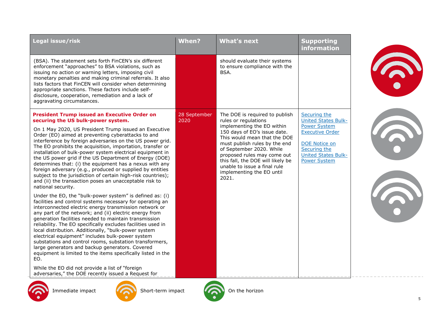| Legal issue/risk                                                                                                                                                                                                                                                                                                                                                                                                                                                                                                                                                                                                                                                    | <b>When?</b>         | <b>What's next</b>                                                                                                                                                                                                                                                                                | <b>Supporting</b><br>information                                                                                                           |  |
|---------------------------------------------------------------------------------------------------------------------------------------------------------------------------------------------------------------------------------------------------------------------------------------------------------------------------------------------------------------------------------------------------------------------------------------------------------------------------------------------------------------------------------------------------------------------------------------------------------------------------------------------------------------------|----------------------|---------------------------------------------------------------------------------------------------------------------------------------------------------------------------------------------------------------------------------------------------------------------------------------------------|--------------------------------------------------------------------------------------------------------------------------------------------|--|
| (BSA). The statement sets forth FinCEN's six different<br>enforcement "approaches" to BSA violations, such as<br>issuing no action or warning letters, imposing civil<br>monetary penalties and making criminal referrals. It also<br>lists factors that FinCEN will consider when determining<br>appropriate sanctions. These factors include self-<br>disclosure, cooperation, remediation and a lack of<br>aggravating circumstances.                                                                                                                                                                                                                            |                      | should evaluate their systems<br>to ensure compliance with the<br>BSA.                                                                                                                                                                                                                            |                                                                                                                                            |  |
| <b>President Trump issued an Executive Order on</b><br>securing the US bulk-power system.                                                                                                                                                                                                                                                                                                                                                                                                                                                                                                                                                                           | 28 September<br>2020 | The DOE is required to publish<br>rules or regulations                                                                                                                                                                                                                                            | Securing the<br><b>United States Bulk-</b>                                                                                                 |  |
| On 1 May 2020, US President Trump issued an Executive<br>Order (EO) aimed at preventing cyberattacks to and<br>interference by foreign adversaries on the US power grid.<br>The EO prohibits the acquisition, importation, transfer or<br>installation of bulk-power system electrical equipment in<br>the US power grid if the US Department of Energy (DOE)<br>determines that: (i) the equipment has a nexus with any<br>foreign adversary (e.g., produced or supplied by entities<br>subject to the jurisdiction of certain high-risk countries);<br>and (ii) the transaction poses an unacceptable risk to<br>national security.                               |                      | implementing the EO within<br>150 days of EO's issue date.<br>This would mean that the DOE<br>must publish rules by the end<br>of September 2020. While<br>proposed rules may come out<br>this fall, the DOE will likely be<br>unable to issue a final rule<br>implementing the EO until<br>2021. | <b>Power System</b><br><b>Executive Order</b><br><b>DOE Notice on</b><br>Securing the<br><b>United States Bulk-</b><br><b>Power System</b> |  |
| Under the EO, the "bulk-power system" is defined as: (i)<br>facilities and control systems necessary for operating an<br>interconnected electric energy transmission network or<br>any part of the network; and (ii) electric energy from<br>generation facilities needed to maintain transmission<br>reliability. The EO specifically excludes facilities used in<br>local distribution. Additionally, "bulk-power system<br>electrical equipment" includes bulk-power system<br>substations and control rooms, substation transformers,<br>large generators and backup generators. Covered<br>equipment is limited to the items specifically listed in the<br>EO. |                      |                                                                                                                                                                                                                                                                                                   |                                                                                                                                            |  |
| While the EO did not provide a list of "foreign<br>adversaries," the DOE recently issued a Request for                                                                                                                                                                                                                                                                                                                                                                                                                                                                                                                                                              |                      |                                                                                                                                                                                                                                                                                                   |                                                                                                                                            |  |
| Immediate impact<br>Short-term impact                                                                                                                                                                                                                                                                                                                                                                                                                                                                                                                                                                                                                               |                      | On the horizon                                                                                                                                                                                                                                                                                    |                                                                                                                                            |  |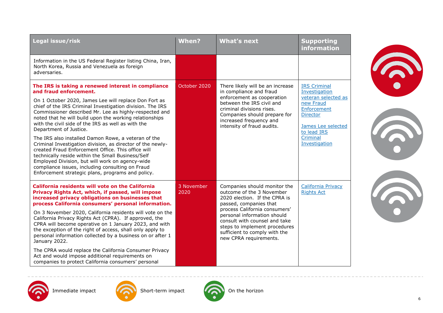| Legal issue/risk                                                                                                                                                                                                                                                                                                                                                                                                                                                                                                                                                                                                                                                                                                                                                                                    | <b>When?</b>       | <b>What's next</b>                                                                                                                                                                                                                                                                                                | <b>Supporting</b><br>information                                                                                                                                             |
|-----------------------------------------------------------------------------------------------------------------------------------------------------------------------------------------------------------------------------------------------------------------------------------------------------------------------------------------------------------------------------------------------------------------------------------------------------------------------------------------------------------------------------------------------------------------------------------------------------------------------------------------------------------------------------------------------------------------------------------------------------------------------------------------------------|--------------------|-------------------------------------------------------------------------------------------------------------------------------------------------------------------------------------------------------------------------------------------------------------------------------------------------------------------|------------------------------------------------------------------------------------------------------------------------------------------------------------------------------|
| Information in the US Federal Register listing China, Iran,<br>North Korea, Russia and Venezuela as foreign<br>adversaries.                                                                                                                                                                                                                                                                                                                                                                                                                                                                                                                                                                                                                                                                         |                    |                                                                                                                                                                                                                                                                                                                   |                                                                                                                                                                              |
| The IRS is taking a renewed interest in compliance<br>and fraud enforcement.<br>On 1 October 2020, James Lee will replace Don Fort as<br>chief of the IRS Criminal Investigation division. The IRS<br>Commissioner described Mr. Lee as highly-respected and<br>noted that he will build upon the working relationships<br>with the civil side of the IRS as well as with the<br>Department of Justice.<br>The IRS also installed Damon Rowe, a veteran of the<br>Criminal Investigation division, as director of the newly-<br>created Fraud Enforcement Office. This office will<br>technically reside within the Small Business/Self<br>Employed Division, but will work on agency-wide<br>compliance issues, including consulting on Fraud<br>Enforcement strategic plans, programs and policy. | October 2020       | There likely will be an increase<br>in compliance and fraud<br>enforcement as cooperation<br>between the IRS civil and<br>criminal divisions rises.<br>Companies should prepare for<br>increased frequency and<br>intensity of fraud audits.                                                                      | <b>IRS Criminal</b><br>Investigation<br>veteran selected as<br>new Fraud<br>Enforcement<br><b>Director</b><br>James Lee selected<br>to lead IRS<br>Criminal<br>Investigation |
| <b>California residents will vote on the California</b><br>Privacy Rights Act, which, if passed, will impose<br>increased privacy obligations on businesses that<br>process California consumers' personal information.<br>On 3 November 2020, California residents will vote on the<br>California Privacy Rights Act (CPRA). If approved, the<br>CPRA will become operative on 1 January 2023, and with<br>the exception of the right of access, shall only apply to<br>personal information collected by a business on or after 1<br>January 2022.<br>The CPRA would replace the California Consumer Privacy<br>Act and would impose additional requirements on<br>companies to protect California consumers' personal                                                                            | 3 November<br>2020 | Companies should monitor the<br>outcome of the 3 November<br>2020 election. If the CPRA is<br>passed, companies that<br>process California consumers'<br>personal information should<br>consult with counsel and take<br>steps to implement procedures<br>sufficient to comply with the<br>new CPRA requirements. | <b>California Privacy</b><br><b>Rights Act</b>                                                                                                                               |







S.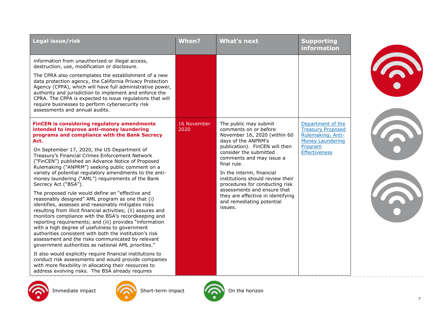| Legal issue/risk                                                                                                                                                                                                                                                                                                                                                                                                                                                                                                                                                                                                                                                                                                                                                                                                                                                                                                                                                                                                                                                                                                                                                                                                                                                                                                             | When?               | <b>What's next</b>                                                                                                                                                                                                                                                                                                                                                                                                          | <b>Supporting</b><br><b>information</b>                                                                                          |  |
|------------------------------------------------------------------------------------------------------------------------------------------------------------------------------------------------------------------------------------------------------------------------------------------------------------------------------------------------------------------------------------------------------------------------------------------------------------------------------------------------------------------------------------------------------------------------------------------------------------------------------------------------------------------------------------------------------------------------------------------------------------------------------------------------------------------------------------------------------------------------------------------------------------------------------------------------------------------------------------------------------------------------------------------------------------------------------------------------------------------------------------------------------------------------------------------------------------------------------------------------------------------------------------------------------------------------------|---------------------|-----------------------------------------------------------------------------------------------------------------------------------------------------------------------------------------------------------------------------------------------------------------------------------------------------------------------------------------------------------------------------------------------------------------------------|----------------------------------------------------------------------------------------------------------------------------------|--|
| information from unauthorized or illegal access,<br>destruction, use, modification or disclosure.<br>The CPRA also contemplates the establishment of a new<br>data protection agency, the California Privacy Protection<br>Agency (CPPA), which will have full administrative power,<br>authority and jurisdiction to implement and enforce the<br>CPRA. The CPPA is expected to issue regulations that will<br>require businesses to perform cybersecurity risk<br>assessments and annual audits.                                                                                                                                                                                                                                                                                                                                                                                                                                                                                                                                                                                                                                                                                                                                                                                                                           |                     |                                                                                                                                                                                                                                                                                                                                                                                                                             |                                                                                                                                  |  |
| <b>FinCEN</b> is considering regulatory amendments<br>intended to improve anti-money laundering<br>programs and compliance with the Bank Secrecy<br>Act.<br>On September 17, 2020, the US Department of<br>Treasury's Financial Crimes Enforcement Network<br>("FinCEN") published an Advance Notice of Proposed<br>Rulemaking ("ANPRM") seeking public comment on a<br>variety of potential regulatory amendments to the anti-<br>money laundering ("AML") requirements of the Bank<br>Secrecy Act ("BSA").<br>The proposed rule would define an "effective and<br>reasonably designed" AML program as one that (i)<br>identifies, assesses and reasonably mitigates risks<br>resulting from illicit financial activities; (ii) assures and<br>monitors compliance with the BSA's recordkeeping and<br>reporting requirements; and (iii) provides "information<br>with a high degree of usefulness to government<br>authorities consistent with both the institution's risk<br>assessment and the risks communicated by relevant<br>government authorities as national AML priorities."<br>It also would explicitly require financial institutions to<br>conduct risk assessments and would provide companies<br>with more flexibility in allocating their resources to<br>address evolving risks. The BSA already requires | 16 November<br>2020 | The public may submit<br>comments on or before<br>November 16, 2020 (within 60<br>days of the ANPRM's<br>publication). FinCEN will then<br>consider the submitted<br>comments and may issue a<br>final rule.<br>In the interim, financial<br>institutions should review their<br>procedures for conducting risk<br>assessments and ensure that<br>they are effective in identifying<br>and remediating potential<br>issues. | Department of the<br><b>Treasury Proposed</b><br>Rulemaking: Anti-<br><b>Money Laundering</b><br>Program<br><b>Effectiveness</b> |  |

On the horizon

Short-term impact

Immediate impact

 $\sum_{i=1}^{n}$ 

 $\overline{7}$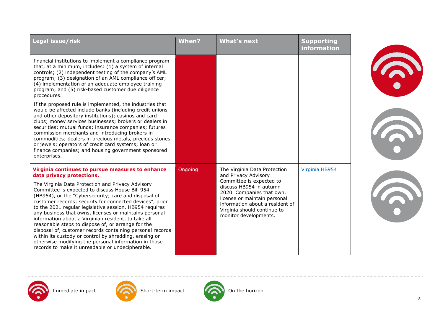| Legal issue/risk                                                                                                                                                                                                                                                                                                                                                                                                                                                                                                                                                                                                                                                                                                                                                                | <b>When?</b> | <b>What's next</b>                                                                                                                                                                                                                                                  | <b>Supporting</b><br><b>information</b> |  |
|---------------------------------------------------------------------------------------------------------------------------------------------------------------------------------------------------------------------------------------------------------------------------------------------------------------------------------------------------------------------------------------------------------------------------------------------------------------------------------------------------------------------------------------------------------------------------------------------------------------------------------------------------------------------------------------------------------------------------------------------------------------------------------|--------------|---------------------------------------------------------------------------------------------------------------------------------------------------------------------------------------------------------------------------------------------------------------------|-----------------------------------------|--|
| financial institutions to implement a compliance program<br>that, at a minimum, includes: (1) a system of internal<br>controls; (2) independent testing of the company's AML<br>program; (3) designation of an AML compliance officer;<br>(4) implementation of an adequate employee training<br>program; and (5) risk-based customer due diligence<br>procedures.                                                                                                                                                                                                                                                                                                                                                                                                              |              |                                                                                                                                                                                                                                                                     |                                         |  |
| If the proposed rule is implemented, the industries that<br>would be affected include banks (including credit unions<br>and other depository institutions); casinos and card<br>clubs; money services businesses; brokers or dealers in<br>securities; mutual funds; insurance companies; futures<br>commission merchants and introducing brokers in<br>commodities; dealers in precious metals, precious stones,<br>or jewels; operators of credit card systems; loan or<br>finance companies; and housing government sponsored<br>enterprises.                                                                                                                                                                                                                                |              |                                                                                                                                                                                                                                                                     |                                         |  |
| Virginia continues to pursue measures to enhance<br>data privacy protections.<br>The Virginia Data Protection and Privacy Advisory<br>Committee is expected to discuss House Bill 954<br>(HB954), or the "Cybersecurity; care and disposal of<br>customer records; security for connected devices", prior<br>to the 2021 regular legislative session. HB954 requires<br>any business that owns, licenses or maintains personal<br>information about a Virginian resident, to take all<br>reasonable steps to dispose of, or arrange for the<br>disposal of, customer records containing personal records<br>within its custody or control by shredding, erasing or<br>otherwise modifying the personal information in those<br>records to make it unreadable or undecipherable. | Ongoing      | The Virginia Data Protection<br>and Privacy Advisory<br>Committee is expected to<br>discuss HB954 in autumn<br>2020. Companies that own,<br>license or maintain personal<br>information about a resident of<br>Virginia should continue to<br>monitor developments. | Virginia HB954                          |  |







Immediate impact **Conducts** Short-term impact **ON** On the horizon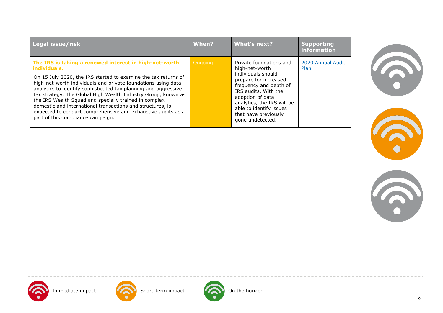| Legal issue/risk                                                                                                                                                                                                                                                                                                                                                                                                                                                                                                                                                          | When?   | What's next?                                                                                                                                                                                                                                                        | <b>Supporting</b><br>information |
|---------------------------------------------------------------------------------------------------------------------------------------------------------------------------------------------------------------------------------------------------------------------------------------------------------------------------------------------------------------------------------------------------------------------------------------------------------------------------------------------------------------------------------------------------------------------------|---------|---------------------------------------------------------------------------------------------------------------------------------------------------------------------------------------------------------------------------------------------------------------------|----------------------------------|
| The IRS is taking a renewed interest in high-net-worth<br>individuals.<br>On 15 July 2020, the IRS started to examine the tax returns of<br>high-net-worth individuals and private foundations using data<br>analytics to identify sophisticated tax planning and aggressive<br>tax strategy. The Global High Wealth Industry Group, known as<br>the IRS Wealth Squad and specially trained in complex<br>domestic and international transactions and structures, is<br>expected to conduct comprehensive and exhaustive audits as a<br>part of this compliance campaign. | Ongoing | Private foundations and<br>high-net-worth<br>individuals should<br>prepare for increased<br>frequency and depth of<br>IRS audits. With the<br>adoption of data<br>analytics, the IRS will be<br>able to identify issues<br>that have previously<br>gone undetected. | 2020 Annual Audit<br>Plan        |







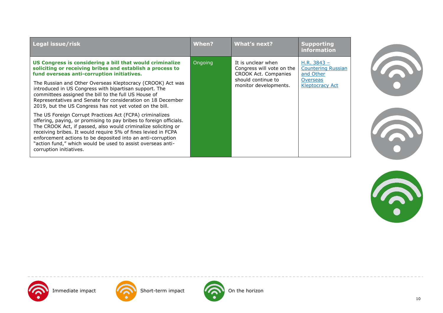| Legal issue/risk                                                                                                                                                                                                                                                                                                                                                                                                           | When?   | <b>What's next?</b>                                                                                                    | <b>Supporting</b><br>information                                                                     |
|----------------------------------------------------------------------------------------------------------------------------------------------------------------------------------------------------------------------------------------------------------------------------------------------------------------------------------------------------------------------------------------------------------------------------|---------|------------------------------------------------------------------------------------------------------------------------|------------------------------------------------------------------------------------------------------|
| US Congress is considering a bill that would criminalize<br>soliciting or receiving bribes and establish a process to<br>fund overseas anti-corruption initiatives.                                                                                                                                                                                                                                                        | Ongoing | It is unclear when<br>Congress will vote on the<br>CROOK Act. Companies<br>should continue to<br>monitor developments. | H.R. $3843 -$<br><b>Countering Russian</b><br>and Other<br><b>Overseas</b><br><b>Kleptocracy Act</b> |
| The Russian and Other Overseas Kleptocracy (CROOK) Act was<br>introduced in US Congress with bipartisan support. The<br>committees assigned the bill to the full US House of<br>Representatives and Senate for consideration on 18 December<br>2019, but the US Congress has not yet voted on the bill.                                                                                                                    |         |                                                                                                                        |                                                                                                      |
| The US Foreign Corrupt Practices Act (FCPA) criminalizes<br>offering, paying, or promising to pay bribes to foreign officials.<br>The CROOK Act, if passed, also would criminalize soliciting or<br>receiving bribes. It would require 5% of fines levied in FCPA<br>enforcement actions to be deposited into an anti-corruption<br>"action fund," which would be used to assist overseas anti-<br>corruption initiatives. |         |                                                                                                                        |                                                                                                      |